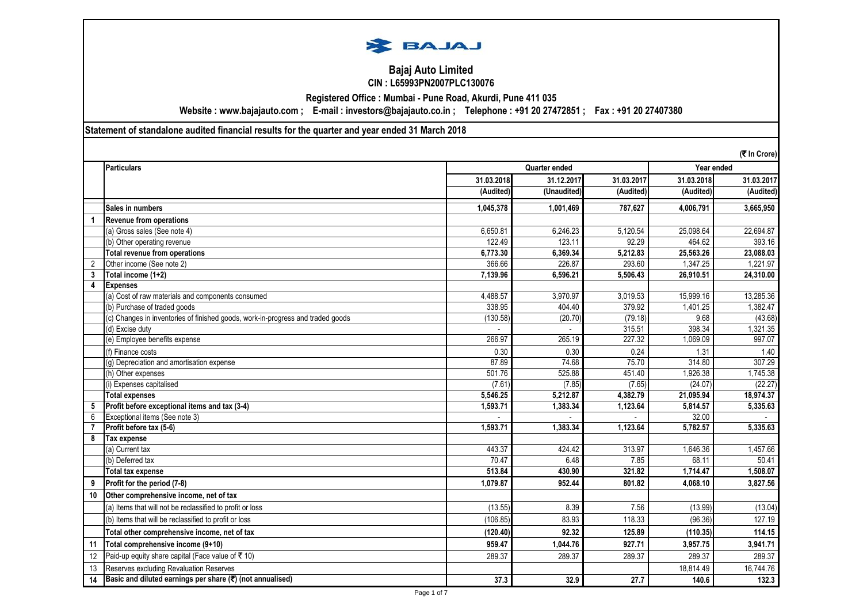

### **Bajaj Auto Limited CIN : L65993PN2007PLC130076**

**Registered Office : Mumbai - Pune Road, Akurdi, Pune 411 035**

**Website : www.bajajauto.com ; E-mail : investors@bajajauto.co.in ; Telephone : +91 20 27472851 ; Fax : +91 20 27407380**

**Statement of standalone audited financial results for the quarter and year ended 31 March 2018**

|                | (そ In Crore)                                                                    |            |               |            |            |            |
|----------------|---------------------------------------------------------------------------------|------------|---------------|------------|------------|------------|
|                | Particulars                                                                     |            | Quarter ended |            |            | Year ended |
|                |                                                                                 | 31.03.2018 | 31.12.2017    | 31.03.2017 | 31.03.2018 | 31.03.2017 |
|                |                                                                                 | (Audited)  | (Unaudited)   | (Audited)  | (Audited)  | (Audited)  |
|                | Sales in numbers                                                                | 1,045,378  | 1.001.469     | 787.627    | 4,006,791  | 3,665,950  |
| 1              | <b>Revenue from operations</b>                                                  |            |               |            |            |            |
|                | (a) Gross sales (See note 4)                                                    | 6,650.81   | 6,246.23      | 5,120.54   | 25,098.64  | 22,694.87  |
|                | (b) Other operating revenue                                                     | 122.49     | 123.11        | 92.29      | 464.62     | 393.16     |
|                | <b>Total revenue from operations</b>                                            | 6,773.30   | 6,369.34      | 5,212.83   | 25,563.26  | 23,088.03  |
| $\overline{2}$ | Other income (See note 2)                                                       | 366.66     | 226.87        | 293.60     | 1,347.25   | 1,221.97   |
| $\overline{3}$ | Total income (1+2)                                                              | 7,139.96   | 6,596.21      | 5,506.43   | 26,910.51  | 24,310.00  |
| 4              | <b>Expenses</b>                                                                 |            |               |            |            |            |
|                | (a) Cost of raw materials and components consumed                               | 4.488.57   | 3.970.97      | 3,019.53   | 15.999.16  | 13,285.36  |
|                | (b) Purchase of traded goods                                                    | 338.95     | 404.40        | 379.92     | 1,401.25   | 1,382.47   |
|                | (c) Changes in inventories of finished goods, work-in-progress and traded goods | (130.58)   | (20.70)       | (79.18)    | 9.68       | (43.68)    |
|                | (d) Excise duty                                                                 |            |               | 315.51     | 398.34     | 1,321.35   |
|                | (e) Employee benefits expense                                                   | 266.97     | 265.19        | 227.32     | 1,069.09   | 997.07     |
|                | (f) Finance costs                                                               | 0.30       | 0.30          | 0.24       | 1.31       | 1.40       |
|                | (q) Depreciation and amortisation expense                                       | 87.89      | 74.68         | 75.70      | 314.80     | 307.29     |
|                | (h) Other expenses                                                              | 501.76     | 525.88        | 451.40     | 1,926.38   | 1,745.38   |
|                | ) Expenses capitalised                                                          | (7.61)     | (7.85)        | (7.65)     | (24.07)    | (22.27)    |
|                | <b>Total expenses</b>                                                           | 5,546.25   | 5,212.87      | 4,382.79   | 21,095.94  | 18,974.37  |
| 5              | Profit before exceptional items and tax (3-4)                                   | 1,593.71   | 1.383.34      | 1.123.64   | 5,814.57   | 5,335.63   |
| 6              | Exceptional items (See note 3)                                                  |            |               |            | 32.00      |            |
| $\overline{7}$ | Profit before tax (5-6)                                                         | 1,593.71   | 1,383.34      | 1,123.64   | 5,782.57   | 5,335.63   |
| 8              | Tax expense                                                                     |            |               |            |            |            |
|                | (a) Current tax                                                                 | 443.37     | 424.42        | 313.97     | 1,646.36   | 1,457.66   |
|                | (b) Deferred tax                                                                | 70.47      | 6.48          | 7.85       | 68.11      | 50.41      |
|                | <b>Total tax expense</b>                                                        | 513.84     | 430.90        | 321.82     | 1,714.47   | 1,508.07   |
| 9              | Profit for the period (7-8)                                                     | 1,079.87   | 952.44        | 801.82     | 4.068.10   | 3.827.56   |
| 10             | Other comprehensive income, net of tax                                          |            |               |            |            |            |
|                | (a) Items that will not be reclassified to profit or loss                       | (13.55)    | 8.39          | 7.56       | (13.99)    | (13.04)    |
|                | (b) Items that will be reclassified to profit or loss                           | (106.85)   | 83.93         | 118.33     | (96.36)    | 127.19     |
|                | Total other comprehensive income, net of tax                                    | (120.40)   | 92.32         | 125.89     | (110.35)   | 114.15     |
| 11             | Total comprehensive income (9+10)                                               | 959.47     | 1.044.76      | 927.71     | 3,957.75   | 3,941.71   |
| 12             | Paid-up equity share capital (Face value of ₹10)                                | 289.37     | 289.37        | 289.37     | 289.37     | 289.37     |
| 13             | Reserves excluding Revaluation Reserves                                         |            |               |            | 18,814.49  | 16,744.76  |
| 14             | Basic and diluted earnings per share (₹) (not annualised)                       | 37.3       | 32.9          | 27.7       | 140.6      | 132.3      |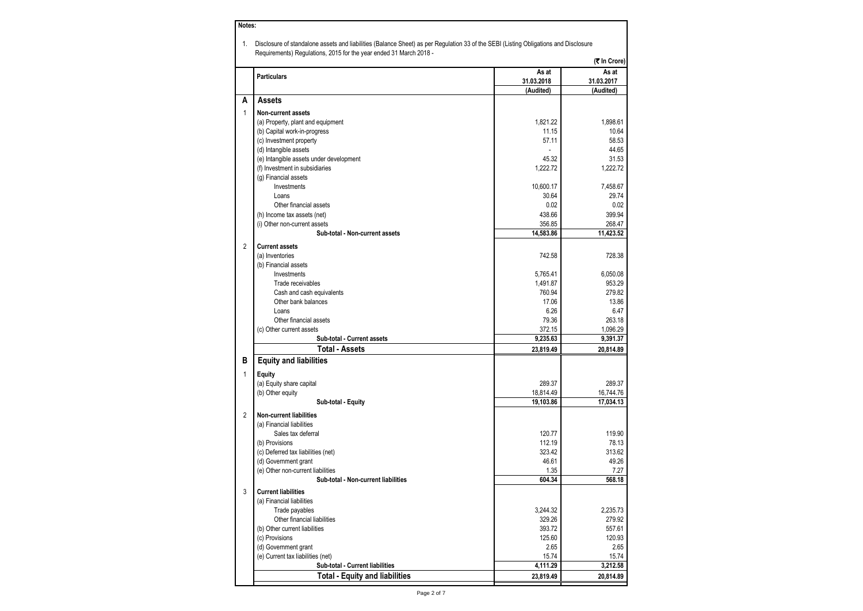| As at<br><b>Particulars</b><br>31.03.2018<br>(Audited)<br><b>Assets</b><br>A<br>$\mathbf{1}$<br><b>Non-current assets</b><br>1,821.22<br>(a) Property, plant and equipment<br>(b) Capital work-in-progress<br>11.15<br>57.11<br>(c) Investment property<br>(d) Intangible assets<br>45.32<br>(e) Intangible assets under development<br>1,222.72<br>(f) Investment in subsidiaries<br>(g) Financial assets<br>Investments<br>10,600.17<br>30.64<br>Loans<br>0.02<br>Other financial assets<br>438.66<br>(h) Income tax assets (net)<br>356.85<br>(i) Other non-current assets<br>Sub-total - Non-current assets<br>14,583.86<br>$\overline{2}$<br><b>Current assets</b><br>(a) Inventories<br>742.58<br>(b) Financial assets<br>Investments<br>5,765.41<br>1,491.87<br>Trade receivables<br>760.94<br>Cash and cash equivalents<br>17.06<br>Other bank balances<br>6.26<br>Loans<br>79.36<br>Other financial assets<br>372.15<br>(c) Other current assets<br>9,235.63<br>Sub-total - Current assets<br><b>Total - Assets</b><br>23,819.49<br>в<br><b>Equity and liabilities</b><br>1<br><b>Equity</b><br>289.37<br>(a) Equity share capital<br>(b) Other equity<br>18,814.49<br>19,103.86<br>Sub-total - Equity<br>$\overline{2}$<br><b>Non-current liabilities</b><br>(a) Financial liabilities<br>Sales tax deferral<br>120.77<br>(b) Provisions<br>112.19<br>323.42<br>(c) Deferred tax liabilities (net)<br>46.61<br>(d) Government grant<br>(e) Other non-current liabilities<br>1.35<br>Sub-total - Non-current liabilities<br>604.34<br>3<br><b>Current liabilities</b><br>(a) Financial liabilities<br>Trade payables<br>3,244.32<br>Other financial liabilities<br>329.26<br>393.72<br>(b) Other current liabilities<br>125.60<br>(c) Provisions<br>(d) Government grant<br>2.65<br>(e) Current tax liabilities (net)<br>15.74 |  | (₹ In Crore)          |
|-----------------------------------------------------------------------------------------------------------------------------------------------------------------------------------------------------------------------------------------------------------------------------------------------------------------------------------------------------------------------------------------------------------------------------------------------------------------------------------------------------------------------------------------------------------------------------------------------------------------------------------------------------------------------------------------------------------------------------------------------------------------------------------------------------------------------------------------------------------------------------------------------------------------------------------------------------------------------------------------------------------------------------------------------------------------------------------------------------------------------------------------------------------------------------------------------------------------------------------------------------------------------------------------------------------------------------------------------------------------------------------------------------------------------------------------------------------------------------------------------------------------------------------------------------------------------------------------------------------------------------------------------------------------------------------------------------------------------------------------------------------------------------------------------------------------------------------------|--|-----------------------|
|                                                                                                                                                                                                                                                                                                                                                                                                                                                                                                                                                                                                                                                                                                                                                                                                                                                                                                                                                                                                                                                                                                                                                                                                                                                                                                                                                                                                                                                                                                                                                                                                                                                                                                                                                                                                                                         |  | As at<br>31.03.2017   |
|                                                                                                                                                                                                                                                                                                                                                                                                                                                                                                                                                                                                                                                                                                                                                                                                                                                                                                                                                                                                                                                                                                                                                                                                                                                                                                                                                                                                                                                                                                                                                                                                                                                                                                                                                                                                                                         |  | (Audited)             |
|                                                                                                                                                                                                                                                                                                                                                                                                                                                                                                                                                                                                                                                                                                                                                                                                                                                                                                                                                                                                                                                                                                                                                                                                                                                                                                                                                                                                                                                                                                                                                                                                                                                                                                                                                                                                                                         |  |                       |
|                                                                                                                                                                                                                                                                                                                                                                                                                                                                                                                                                                                                                                                                                                                                                                                                                                                                                                                                                                                                                                                                                                                                                                                                                                                                                                                                                                                                                                                                                                                                                                                                                                                                                                                                                                                                                                         |  |                       |
|                                                                                                                                                                                                                                                                                                                                                                                                                                                                                                                                                                                                                                                                                                                                                                                                                                                                                                                                                                                                                                                                                                                                                                                                                                                                                                                                                                                                                                                                                                                                                                                                                                                                                                                                                                                                                                         |  | 1,898.61              |
|                                                                                                                                                                                                                                                                                                                                                                                                                                                                                                                                                                                                                                                                                                                                                                                                                                                                                                                                                                                                                                                                                                                                                                                                                                                                                                                                                                                                                                                                                                                                                                                                                                                                                                                                                                                                                                         |  | 10.64                 |
|                                                                                                                                                                                                                                                                                                                                                                                                                                                                                                                                                                                                                                                                                                                                                                                                                                                                                                                                                                                                                                                                                                                                                                                                                                                                                                                                                                                                                                                                                                                                                                                                                                                                                                                                                                                                                                         |  | 58.53                 |
|                                                                                                                                                                                                                                                                                                                                                                                                                                                                                                                                                                                                                                                                                                                                                                                                                                                                                                                                                                                                                                                                                                                                                                                                                                                                                                                                                                                                                                                                                                                                                                                                                                                                                                                                                                                                                                         |  | 44.65                 |
|                                                                                                                                                                                                                                                                                                                                                                                                                                                                                                                                                                                                                                                                                                                                                                                                                                                                                                                                                                                                                                                                                                                                                                                                                                                                                                                                                                                                                                                                                                                                                                                                                                                                                                                                                                                                                                         |  | 31.53                 |
|                                                                                                                                                                                                                                                                                                                                                                                                                                                                                                                                                                                                                                                                                                                                                                                                                                                                                                                                                                                                                                                                                                                                                                                                                                                                                                                                                                                                                                                                                                                                                                                                                                                                                                                                                                                                                                         |  | 1,222.72              |
|                                                                                                                                                                                                                                                                                                                                                                                                                                                                                                                                                                                                                                                                                                                                                                                                                                                                                                                                                                                                                                                                                                                                                                                                                                                                                                                                                                                                                                                                                                                                                                                                                                                                                                                                                                                                                                         |  |                       |
|                                                                                                                                                                                                                                                                                                                                                                                                                                                                                                                                                                                                                                                                                                                                                                                                                                                                                                                                                                                                                                                                                                                                                                                                                                                                                                                                                                                                                                                                                                                                                                                                                                                                                                                                                                                                                                         |  | 7,458.67              |
|                                                                                                                                                                                                                                                                                                                                                                                                                                                                                                                                                                                                                                                                                                                                                                                                                                                                                                                                                                                                                                                                                                                                                                                                                                                                                                                                                                                                                                                                                                                                                                                                                                                                                                                                                                                                                                         |  | 29.74                 |
|                                                                                                                                                                                                                                                                                                                                                                                                                                                                                                                                                                                                                                                                                                                                                                                                                                                                                                                                                                                                                                                                                                                                                                                                                                                                                                                                                                                                                                                                                                                                                                                                                                                                                                                                                                                                                                         |  | 0.02                  |
|                                                                                                                                                                                                                                                                                                                                                                                                                                                                                                                                                                                                                                                                                                                                                                                                                                                                                                                                                                                                                                                                                                                                                                                                                                                                                                                                                                                                                                                                                                                                                                                                                                                                                                                                                                                                                                         |  | 399.94                |
|                                                                                                                                                                                                                                                                                                                                                                                                                                                                                                                                                                                                                                                                                                                                                                                                                                                                                                                                                                                                                                                                                                                                                                                                                                                                                                                                                                                                                                                                                                                                                                                                                                                                                                                                                                                                                                         |  | 268.47                |
|                                                                                                                                                                                                                                                                                                                                                                                                                                                                                                                                                                                                                                                                                                                                                                                                                                                                                                                                                                                                                                                                                                                                                                                                                                                                                                                                                                                                                                                                                                                                                                                                                                                                                                                                                                                                                                         |  | 11,423.52             |
|                                                                                                                                                                                                                                                                                                                                                                                                                                                                                                                                                                                                                                                                                                                                                                                                                                                                                                                                                                                                                                                                                                                                                                                                                                                                                                                                                                                                                                                                                                                                                                                                                                                                                                                                                                                                                                         |  |                       |
|                                                                                                                                                                                                                                                                                                                                                                                                                                                                                                                                                                                                                                                                                                                                                                                                                                                                                                                                                                                                                                                                                                                                                                                                                                                                                                                                                                                                                                                                                                                                                                                                                                                                                                                                                                                                                                         |  | 728.38                |
|                                                                                                                                                                                                                                                                                                                                                                                                                                                                                                                                                                                                                                                                                                                                                                                                                                                                                                                                                                                                                                                                                                                                                                                                                                                                                                                                                                                                                                                                                                                                                                                                                                                                                                                                                                                                                                         |  |                       |
|                                                                                                                                                                                                                                                                                                                                                                                                                                                                                                                                                                                                                                                                                                                                                                                                                                                                                                                                                                                                                                                                                                                                                                                                                                                                                                                                                                                                                                                                                                                                                                                                                                                                                                                                                                                                                                         |  | 6,050.08              |
|                                                                                                                                                                                                                                                                                                                                                                                                                                                                                                                                                                                                                                                                                                                                                                                                                                                                                                                                                                                                                                                                                                                                                                                                                                                                                                                                                                                                                                                                                                                                                                                                                                                                                                                                                                                                                                         |  | 953.29                |
|                                                                                                                                                                                                                                                                                                                                                                                                                                                                                                                                                                                                                                                                                                                                                                                                                                                                                                                                                                                                                                                                                                                                                                                                                                                                                                                                                                                                                                                                                                                                                                                                                                                                                                                                                                                                                                         |  | 279.82                |
|                                                                                                                                                                                                                                                                                                                                                                                                                                                                                                                                                                                                                                                                                                                                                                                                                                                                                                                                                                                                                                                                                                                                                                                                                                                                                                                                                                                                                                                                                                                                                                                                                                                                                                                                                                                                                                         |  | 13.86                 |
|                                                                                                                                                                                                                                                                                                                                                                                                                                                                                                                                                                                                                                                                                                                                                                                                                                                                                                                                                                                                                                                                                                                                                                                                                                                                                                                                                                                                                                                                                                                                                                                                                                                                                                                                                                                                                                         |  | 6.47                  |
|                                                                                                                                                                                                                                                                                                                                                                                                                                                                                                                                                                                                                                                                                                                                                                                                                                                                                                                                                                                                                                                                                                                                                                                                                                                                                                                                                                                                                                                                                                                                                                                                                                                                                                                                                                                                                                         |  | 263.18                |
|                                                                                                                                                                                                                                                                                                                                                                                                                                                                                                                                                                                                                                                                                                                                                                                                                                                                                                                                                                                                                                                                                                                                                                                                                                                                                                                                                                                                                                                                                                                                                                                                                                                                                                                                                                                                                                         |  | 1,096.29<br>9,391.37  |
|                                                                                                                                                                                                                                                                                                                                                                                                                                                                                                                                                                                                                                                                                                                                                                                                                                                                                                                                                                                                                                                                                                                                                                                                                                                                                                                                                                                                                                                                                                                                                                                                                                                                                                                                                                                                                                         |  | 20,814.89             |
|                                                                                                                                                                                                                                                                                                                                                                                                                                                                                                                                                                                                                                                                                                                                                                                                                                                                                                                                                                                                                                                                                                                                                                                                                                                                                                                                                                                                                                                                                                                                                                                                                                                                                                                                                                                                                                         |  |                       |
|                                                                                                                                                                                                                                                                                                                                                                                                                                                                                                                                                                                                                                                                                                                                                                                                                                                                                                                                                                                                                                                                                                                                                                                                                                                                                                                                                                                                                                                                                                                                                                                                                                                                                                                                                                                                                                         |  |                       |
|                                                                                                                                                                                                                                                                                                                                                                                                                                                                                                                                                                                                                                                                                                                                                                                                                                                                                                                                                                                                                                                                                                                                                                                                                                                                                                                                                                                                                                                                                                                                                                                                                                                                                                                                                                                                                                         |  |                       |
|                                                                                                                                                                                                                                                                                                                                                                                                                                                                                                                                                                                                                                                                                                                                                                                                                                                                                                                                                                                                                                                                                                                                                                                                                                                                                                                                                                                                                                                                                                                                                                                                                                                                                                                                                                                                                                         |  | 289.37                |
|                                                                                                                                                                                                                                                                                                                                                                                                                                                                                                                                                                                                                                                                                                                                                                                                                                                                                                                                                                                                                                                                                                                                                                                                                                                                                                                                                                                                                                                                                                                                                                                                                                                                                                                                                                                                                                         |  | 16,744.76             |
|                                                                                                                                                                                                                                                                                                                                                                                                                                                                                                                                                                                                                                                                                                                                                                                                                                                                                                                                                                                                                                                                                                                                                                                                                                                                                                                                                                                                                                                                                                                                                                                                                                                                                                                                                                                                                                         |  | 17,034.13             |
|                                                                                                                                                                                                                                                                                                                                                                                                                                                                                                                                                                                                                                                                                                                                                                                                                                                                                                                                                                                                                                                                                                                                                                                                                                                                                                                                                                                                                                                                                                                                                                                                                                                                                                                                                                                                                                         |  |                       |
|                                                                                                                                                                                                                                                                                                                                                                                                                                                                                                                                                                                                                                                                                                                                                                                                                                                                                                                                                                                                                                                                                                                                                                                                                                                                                                                                                                                                                                                                                                                                                                                                                                                                                                                                                                                                                                         |  |                       |
|                                                                                                                                                                                                                                                                                                                                                                                                                                                                                                                                                                                                                                                                                                                                                                                                                                                                                                                                                                                                                                                                                                                                                                                                                                                                                                                                                                                                                                                                                                                                                                                                                                                                                                                                                                                                                                         |  | 119.90                |
|                                                                                                                                                                                                                                                                                                                                                                                                                                                                                                                                                                                                                                                                                                                                                                                                                                                                                                                                                                                                                                                                                                                                                                                                                                                                                                                                                                                                                                                                                                                                                                                                                                                                                                                                                                                                                                         |  | 78.13                 |
|                                                                                                                                                                                                                                                                                                                                                                                                                                                                                                                                                                                                                                                                                                                                                                                                                                                                                                                                                                                                                                                                                                                                                                                                                                                                                                                                                                                                                                                                                                                                                                                                                                                                                                                                                                                                                                         |  | 313.62                |
|                                                                                                                                                                                                                                                                                                                                                                                                                                                                                                                                                                                                                                                                                                                                                                                                                                                                                                                                                                                                                                                                                                                                                                                                                                                                                                                                                                                                                                                                                                                                                                                                                                                                                                                                                                                                                                         |  | 49.26                 |
|                                                                                                                                                                                                                                                                                                                                                                                                                                                                                                                                                                                                                                                                                                                                                                                                                                                                                                                                                                                                                                                                                                                                                                                                                                                                                                                                                                                                                                                                                                                                                                                                                                                                                                                                                                                                                                         |  | 7.27                  |
|                                                                                                                                                                                                                                                                                                                                                                                                                                                                                                                                                                                                                                                                                                                                                                                                                                                                                                                                                                                                                                                                                                                                                                                                                                                                                                                                                                                                                                                                                                                                                                                                                                                                                                                                                                                                                                         |  | 568.18                |
|                                                                                                                                                                                                                                                                                                                                                                                                                                                                                                                                                                                                                                                                                                                                                                                                                                                                                                                                                                                                                                                                                                                                                                                                                                                                                                                                                                                                                                                                                                                                                                                                                                                                                                                                                                                                                                         |  |                       |
|                                                                                                                                                                                                                                                                                                                                                                                                                                                                                                                                                                                                                                                                                                                                                                                                                                                                                                                                                                                                                                                                                                                                                                                                                                                                                                                                                                                                                                                                                                                                                                                                                                                                                                                                                                                                                                         |  |                       |
|                                                                                                                                                                                                                                                                                                                                                                                                                                                                                                                                                                                                                                                                                                                                                                                                                                                                                                                                                                                                                                                                                                                                                                                                                                                                                                                                                                                                                                                                                                                                                                                                                                                                                                                                                                                                                                         |  | 2,235.73              |
|                                                                                                                                                                                                                                                                                                                                                                                                                                                                                                                                                                                                                                                                                                                                                                                                                                                                                                                                                                                                                                                                                                                                                                                                                                                                                                                                                                                                                                                                                                                                                                                                                                                                                                                                                                                                                                         |  | 279.92                |
|                                                                                                                                                                                                                                                                                                                                                                                                                                                                                                                                                                                                                                                                                                                                                                                                                                                                                                                                                                                                                                                                                                                                                                                                                                                                                                                                                                                                                                                                                                                                                                                                                                                                                                                                                                                                                                         |  | 557.61                |
|                                                                                                                                                                                                                                                                                                                                                                                                                                                                                                                                                                                                                                                                                                                                                                                                                                                                                                                                                                                                                                                                                                                                                                                                                                                                                                                                                                                                                                                                                                                                                                                                                                                                                                                                                                                                                                         |  | 120.93                |
|                                                                                                                                                                                                                                                                                                                                                                                                                                                                                                                                                                                                                                                                                                                                                                                                                                                                                                                                                                                                                                                                                                                                                                                                                                                                                                                                                                                                                                                                                                                                                                                                                                                                                                                                                                                                                                         |  | 2.65                  |
|                                                                                                                                                                                                                                                                                                                                                                                                                                                                                                                                                                                                                                                                                                                                                                                                                                                                                                                                                                                                                                                                                                                                                                                                                                                                                                                                                                                                                                                                                                                                                                                                                                                                                                                                                                                                                                         |  | 15.74                 |
| 4,111.29<br>Sub-total - Current liabilities<br><b>Total - Equity and liabilities</b><br>23,819.49                                                                                                                                                                                                                                                                                                                                                                                                                                                                                                                                                                                                                                                                                                                                                                                                                                                                                                                                                                                                                                                                                                                                                                                                                                                                                                                                                                                                                                                                                                                                                                                                                                                                                                                                       |  | 3,212.58<br>20,814.89 |

**Notes:**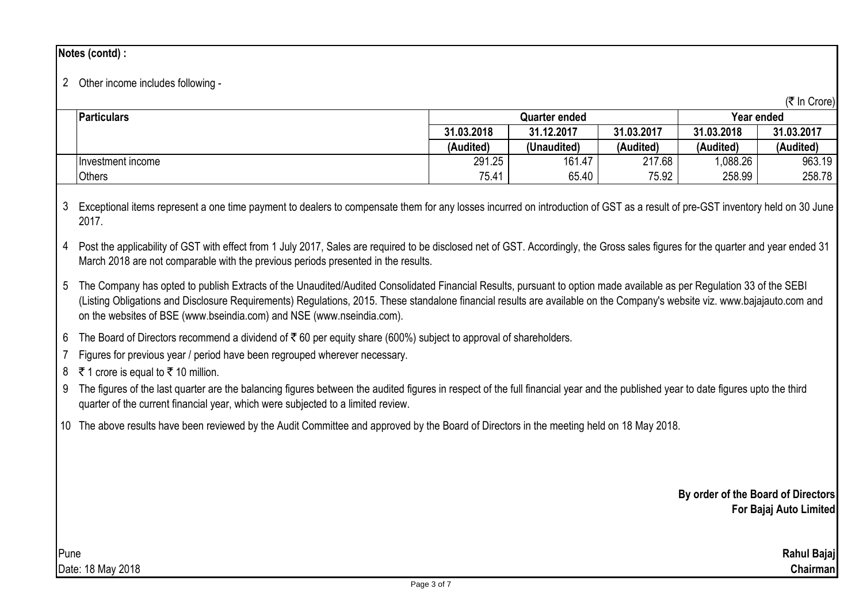## **Notes (contd) :**

# 2 Other income includes following -

| (₹ In Crore) |  |
|--------------|--|
|--------------|--|

|                    |            |                      |            |            | טוטוט ווי  |
|--------------------|------------|----------------------|------------|------------|------------|
| <b>Particulars</b> |            | <b>Quarter ended</b> | Year ended |            |            |
|                    | 31.03.2018 | 31.12.2017           | 31.03.2017 | 31.03.2018 | 31.03.2017 |
|                    | (Audited)  | (Unaudited)          | (Audited)  | (Audited)  | (Audited)  |
| Hnvestment income  | 291.25     | 161.47               | 217.68     | 1,088.26   | 963.19     |
| Others             | 75.41      | 65.40                | 75.92      | 258.99     | 258.78     |

3 Exceptional items represent a one time payment to dealers to compensate them for any losses incurred on introduction of GST as a result of pre-GST inventory held on 30 June 2017.

4 Post the applicability of GST with effect from 1 July 2017, Sales are required to be disclosed net of GST. Accordingly, the Gross sales figures for the quarter and year ended 31 March 2018 are not comparable with the previous periods presented in the results.

5 The Company has opted to publish Extracts of the Unaudited/Audited Consolidated Financial Results, pursuant to option made available as per Regulation 33 of the SEBI (Listing Obligations and Disclosure Requirements) Regulations, 2015. These standalone financial results are available on the Company's website viz. www.bajajauto.com and on the websites of BSE (www.bseindia.com) and NSE (www.nseindia.com).

6 The Board of Directors recommend a dividend of ₹ 60 per equity share (600%) subject to approval of shareholders.

7 Figures for previous year / period have been regrouped wherever necessary.

8 ₹ 1 crore is equal to ₹ 10 million.

- 9 The figures of the last quarter are the balancing figures between the audited figures in respect of the full financial year and the published year to date figures upto the third quarter of the current financial year, which were subjected to a limited review.
- 10 The above results have been reviewed by the Audit Committee and approved by the Board of Directors in the meeting held on 18 May 2018.

**By order of the Board of Directors For Bajaj Auto Limited**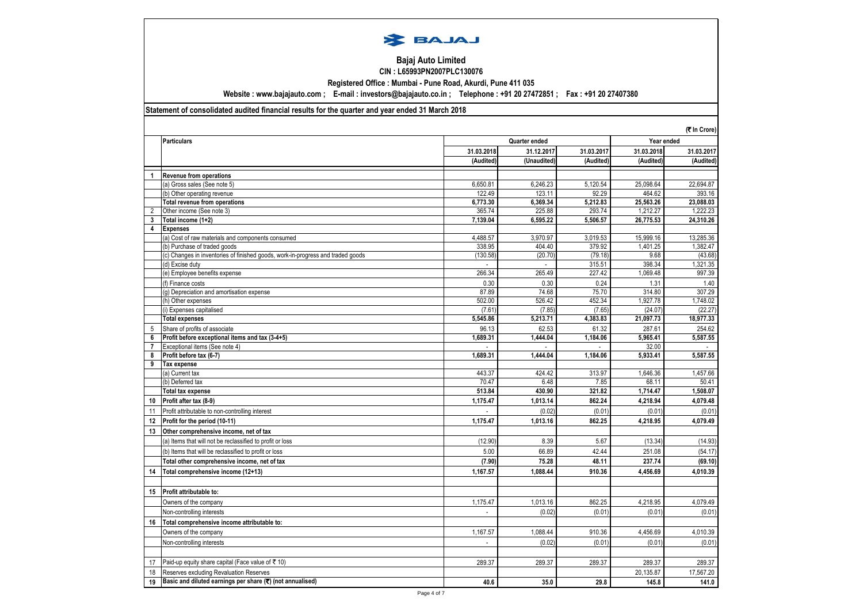

#### **Bajaj Auto Limited CIN : L65993PN2007PLC130076**

**Registered Office : Mumbai - Pune Road, Akurdi, Pune 411 035 Website : www.bajajauto.com ; E-mail : investors@bajajauto.co.in ; Telephone : +91 20 27472851 ; Fax : +91 20 27407380**

### **Statement of consolidated audited financial results for the quarter and year ended 31 March 2018**

|    |                                                                                 |            |               |            |            | (そ In Crore) |  |
|----|---------------------------------------------------------------------------------|------------|---------------|------------|------------|--------------|--|
|    | <b>Particulars</b>                                                              |            | Quarter ended |            | Year ended |              |  |
|    |                                                                                 | 31.03.2018 | 31.12.2017    | 31.03.2017 | 31.03.2018 | 31.03.2017   |  |
|    |                                                                                 | (Audited)  | (Unaudited)   | (Audited)  | (Audited)  | (Audited)    |  |
| 1  | <b>Revenue from operations</b>                                                  |            |               |            |            |              |  |
|    | (a) Gross sales (See note 5)                                                    | 6,650.81   | 6,246.23      | 5,120.54   | 25,098.64  | 22,694.87    |  |
|    | (b) Other operating revenue                                                     | 122.49     | 123.11        | 92.29      | 464.62     | 393.16       |  |
|    | <b>Total revenue from operations</b>                                            | 6,773.30   | 6,369.34      | 5,212.83   | 25,563.26  | 23,088.03    |  |
| 2  | Other income (See note 3)                                                       | 365.74     | 225.88        | 293.74     | 1,212.27   | 1,222.23     |  |
| 3  | Total income (1+2)                                                              | 7,139.04   | 6,595.22      | 5,506.57   | 26,775.53  | 24,310.26    |  |
| 4  | <b>Expenses</b>                                                                 |            |               |            |            |              |  |
|    | (a) Cost of raw materials and components consumed                               | 4,488.57   | 3,970.97      | 3,019.53   | 15,999.16  | 13,285.36    |  |
|    | (b) Purchase of traded goods                                                    | 338.95     | 404.40        | 379.92     | 1,401.25   | 1,382.47     |  |
|    | (c) Changes in inventories of finished goods, work-in-progress and traded goods | (130.58)   | (20.70)       | (79.18)    | 9.68       | (43.68)      |  |
|    | (d) Excise duty                                                                 |            |               | 315.51     | 398.34     | 1,321.35     |  |
|    | (e) Employee benefits expense                                                   | 266.34     | 265.49        | 227.42     | 1,069.48   | 997.39       |  |
|    | (f) Finance costs                                                               | 0.30       | 0.30          | 0.24       | 1.31       | 1.40         |  |
|    | (g) Depreciation and amortisation expense                                       | 87.89      | 74.68         | 75.70      | 314.80     | 307.29       |  |
|    | (h) Other expenses                                                              | 502.00     | 526.42        | 452.34     | 1,927.78   | 1,748.02     |  |
|    | (i) Expenses capitalised                                                        | (7.61)     | (7.85)        | (7.65)     | (24.07)    | (22.27)      |  |
|    | <b>Total expenses</b>                                                           | 5,545.86   | 5,213.71      | 4,383.83   | 21,097.73  | 18,977.33    |  |
| 5  | Share of profits of associate                                                   | 96.13      | 62.53         | 61.32      | 287.61     | 254.62       |  |
| 6  | Profit before exceptional items and tax (3-4+5)                                 | 1,689.31   | 1,444.04      | 1,184.06   | 5,965.41   | 5,587.55     |  |
| 7  | Exceptional items (See note 4)                                                  |            |               |            | 32.00      |              |  |
| 8  | Profit before tax (6-7)                                                         | 1,689.31   | 1,444.04      | 1,184.06   | 5,933.41   | 5,587.55     |  |
| 9  | <b>Tax expense</b>                                                              |            |               |            |            |              |  |
|    | (a) Current tax                                                                 | 443.37     | 424.42        | 313.97     | 1,646.36   | 1,457.66     |  |
|    | (b) Deferred tax                                                                | 70.47      | 6.48          | 7.85       | 68.11      | 50.41        |  |
|    | <b>Total tax expense</b>                                                        | 513.84     | 430.90        | 321.82     | 1,714.47   | 1,508.07     |  |
| 10 | Profit after tax (8-9)                                                          | 1,175.47   | 1,013.14      | 862.24     | 4,218.94   | 4,079.48     |  |
| 11 | Profit attributable to non-controlling interest                                 |            | (0.02)        | (0.01)     | (0.01)     | (0.01)       |  |
| 12 | Profit for the period (10-11)                                                   | 1.175.47   | 1.013.16      | 862.25     | 4,218.95   | 4,079.49     |  |
| 13 | Other comprehensive income, net of tax                                          |            |               |            |            |              |  |
|    | (a) Items that will not be reclassified to profit or loss                       | (12.90)    | 8.39          | 5.67       | (13.34)    | (14.93)      |  |
|    | (b) Items that will be reclassified to profit or loss                           | 5.00       | 66.89         | 42.44      | 251.08     | (54.17)      |  |
|    | Total other comprehensive income, net of tax                                    | (7.90)     | 75.28         | 48.11      | 237.74     | (69.10)      |  |
| 14 | Total comprehensive income (12+13)                                              | 1,167.57   | 1,088.44      | 910.36     | 4,456.69   | 4,010.39     |  |
|    |                                                                                 |            |               |            |            |              |  |
| 15 | Profit attributable to:                                                         |            |               |            |            |              |  |
|    | Owners of the company                                                           | 1,175.47   | 1,013.16      | 862.25     | 4,218.95   | 4,079.49     |  |
|    |                                                                                 |            | (0.02)        | (0.01)     | (0.01)     | (0.01)       |  |
|    | Non-controlling interests                                                       |            |               |            |            |              |  |
| 16 | Total comprehensive income attributable to:                                     |            |               |            |            |              |  |
|    | Owners of the company                                                           | 1.167.57   | 1.088.44      | 910.36     | 4.456.69   | 4,010.39     |  |
|    | Non-controlling interests                                                       |            | (0.02)        | (0.01)     | (0.01)     | (0.01)       |  |
|    |                                                                                 |            |               |            |            |              |  |
| 17 | Paid-up equity share capital (Face value of ₹ 10)                               | 289.37     | 289.37        | 289.37     | 289.37     | 289.37       |  |
| 18 | Reserves excluding Revaluation Reserves                                         |            |               |            | 20.135.87  | 17,567.20    |  |
| 19 | Basic and diluted earnings per share (₹) (not annualised)                       | 40.6       | 35.0          | 29.8       | 145.8      | 141.0        |  |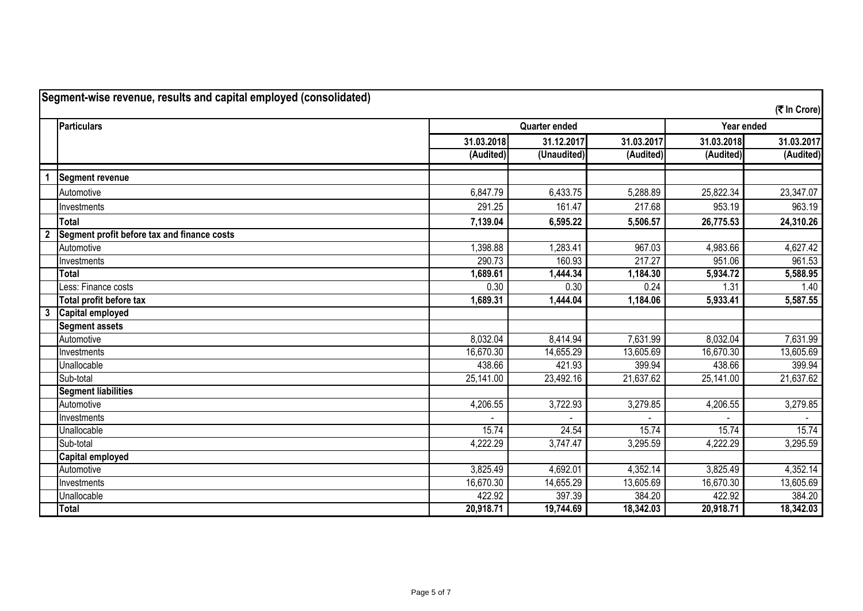|                         | Segment-wise revenue, results and capital employed (consolidated) |            |                      |                       |            |              |
|-------------------------|-------------------------------------------------------------------|------------|----------------------|-----------------------|------------|--------------|
|                         |                                                                   |            |                      |                       |            | (そ In Crore) |
|                         | <b>Particulars</b>                                                |            | <b>Quarter ended</b> |                       | Year ended |              |
|                         |                                                                   | 31.03.2018 | 31.12.2017           | 31.03.2017            | 31.03.2018 | 31.03.2017   |
|                         |                                                                   | (Audited)  | (Unaudited)          | (Audited)             | (Audited)  | (Audited)    |
|                         | Segment revenue                                                   |            |                      |                       |            |              |
|                         | Automotive                                                        | 6,847.79   | 6,433.75             | 5,288.89              | 25,822.34  | 23,347.07    |
|                         | Investments                                                       | 291.25     | 161.47               | 217.68                | 953.19     | 963.19       |
|                         | <b>Total</b>                                                      | 7,139.04   | 6,595.22             | 5,506.57              | 26,775.53  | 24,310.26    |
| $\overline{\mathbf{2}}$ | Segment profit before tax and finance costs                       |            |                      |                       |            |              |
|                         | Automotive                                                        | 1,398.88   | 1,283.41             | 967.03                | 4,983.66   | 4,627.42     |
|                         | Investments                                                       | 290.73     | 160.93               | 217.27                | 951.06     | 961.53       |
|                         | <b>Total</b>                                                      | 1,689.61   | 1,444.34             | 1,184.30              | 5,934.72   | 5,588.95     |
|                         | Less: Finance costs                                               | 0.30       | 0.30                 | 0.24                  | 1.31       | 1.40         |
|                         | Total profit before tax                                           | 1,689.31   | 1,444.04             | 1,184.06              | 5,933.41   | 5,587.55     |
| $\mathbf{3}$            | <b>Capital employed</b>                                           |            |                      |                       |            |              |
|                         | <b>Segment assets</b>                                             |            |                      |                       |            |              |
|                         | Automotive                                                        | 8,032.04   | 8,414.94             | 7,631.99              | 8,032.04   | 7,631.99     |
|                         | Investments                                                       | 16,670.30  | 14,655.29            | 13,605.69             | 16,670.30  | 13,605.69    |
|                         | Unallocable                                                       | 438.66     | 421.93               | 399.94                | 438.66     | 399.94       |
|                         | Sub-total                                                         | 25,141.00  | 23,492.16            | 21,637.62             | 25,141.00  | 21,637.62    |
|                         | <b>Segment liabilities</b>                                        |            |                      |                       |            |              |
|                         | Automotive                                                        | 4,206.55   | 3,722.93             | 3,279.85              | 4,206.55   | 3,279.85     |
|                         | Investments                                                       |            |                      |                       |            |              |
|                         | Unallocable                                                       | 15.74      | 24.54                | 15.74                 | 15.74      | 15.74        |
|                         | Sub-total                                                         | 4,222.29   | 3,747.47             | 3,295.59              | 4,222.29   | 3,295.59     |
|                         | <b>Capital employed</b>                                           |            |                      |                       |            |              |
|                         | Automotive                                                        | 3,825.49   | 4,692.01             | $\overline{4,352.14}$ | 3,825.49   | 4,352.14     |
|                         | Investments                                                       | 16,670.30  | 14,655.29            | 13,605.69             | 16,670.30  | 13,605.69    |
|                         | Unallocable                                                       | 422.92     | 397.39               | 384.20                | 422.92     | 384.20       |
|                         | <b>Total</b>                                                      | 20,918.71  | 19,744.69            | 18,342.03             | 20,918.71  | 18,342.03    |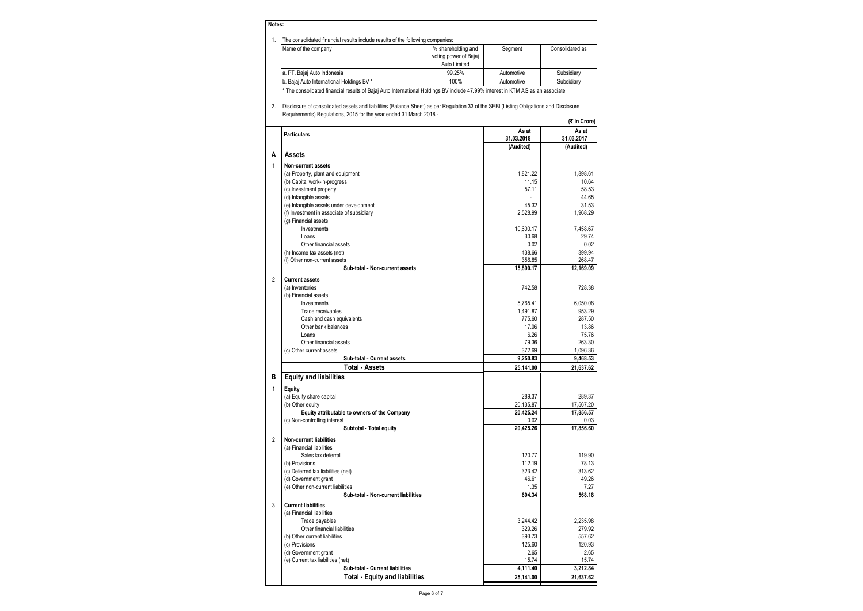| Notes: |                                                                                |                       |            |                 |
|--------|--------------------------------------------------------------------------------|-----------------------|------------|-----------------|
|        | The consolidated financial results include results of the following companies: |                       |            |                 |
|        | Name of the company                                                            | % shareholding and    | Segment    | Consolidated as |
|        |                                                                                | voting power of Bajaj |            |                 |
|        |                                                                                | Auto Limited          |            |                 |
|        | a. PT. Bajaj Auto Indonesia                                                    | 99.25%                | Automotive | Subsidiary      |
|        | b. Bajaj Auto International Holdings BV *                                      | 100%                  | Automotive | Subsidiary      |

\* The consolidated financial results of Bajaj Auto International Holdings BV include 47.99% interest in KTM AG as an associate.

2. Disclosure of consolidated assets and liabilities (Balance Sheet) as per Regulation 33 of the SEBI (Listing Obligations and Disclosure Requirements) Regulations, 2015 for the year ended 31 March 2018 - **(**` **In Crore)**

|                | <b>Particulars</b>                           | As at<br>31.03.2018 | As at<br>31.03.2017 |
|----------------|----------------------------------------------|---------------------|---------------------|
|                |                                              | (Audited)           | (Audited)           |
| А              | <b>Assets</b>                                |                     |                     |
| 1              | Non-current assets                           |                     |                     |
|                | (a) Property, plant and equipment            | 1,821.22            | 1,898.61            |
|                | (b) Capital work-in-progress                 | 11.15               | 10.64               |
|                | (c) Investment property                      | 57.11               | 58.53               |
|                | (d) Intangible assets                        | ÷                   | 44.65               |
|                | (e) Intangible assets under development      | 45.32               | 31.53               |
|                | (f) Investment in associate of subsidiary    | 2,528.99            | 1,968.29            |
|                | (g) Financial assets                         |                     |                     |
|                | Investments                                  | 10,600.17           | 7,458.67            |
|                | Loans                                        | 30.68               | 29.74               |
|                | Other financial assets                       | 0.02                | 0.02                |
|                | (h) Income tax assets (net)                  | 438.66              | 399.94              |
|                | (i) Other non-current assets                 | 356.85              | 268.47              |
|                | Sub-total - Non-current assets               | 15,890.17           | 12.169.09           |
| $\overline{2}$ | <b>Current assets</b>                        |                     |                     |
|                | (a) Inventories                              | 742.58              | 728.38              |
|                | (b) Financial assets                         |                     |                     |
|                | Investments                                  | 5,765.41            | 6.050.08            |
|                | Trade receivables                            | 1,491.87            | 953.29              |
|                | Cash and cash equivalents                    | 775.60              | 287.50              |
|                | Other bank balances                          | 17.06               | 13.86               |
|                | Loans                                        | 6.26                | 75.76               |
|                | Other financial assets                       | 79.36               | 263.30              |
|                | (c) Other current assets                     | 372.69              | 1,096.36            |
|                | Sub-total - Current assets                   | 9,250.83            | 9,468.53            |
|                | <b>Total - Assets</b>                        | 25,141.00           | 21,637.62           |
| В              | <b>Equity and liabilities</b>                |                     |                     |
|                |                                              |                     |                     |
| $\overline{1}$ | Equity                                       |                     |                     |
|                | (a) Equity share capital                     | 289.37              | 289.37              |
|                | (b) Other equity                             | 20,135.87           | 17,567.20           |
|                | Equity attributable to owners of the Company | 20,425.24           | 17,856.57           |
|                | (c) Non-controlling interest                 | 0.02                | 0.03                |
|                | Subtotal - Total equity                      | 20,425.26           | 17,856.60           |
| $\overline{2}$ | <b>Non-current liabilities</b>               |                     |                     |
|                | (a) Financial liabilities                    |                     |                     |
|                | Sales tax deferral                           | 120.77              | 119.90              |
|                | (b) Provisions                               | 112.19              | 78.13               |
|                | (c) Deferred tax liabilities (net)           | 323.42              | 313.62              |
|                | (d) Government grant                         | 46.61               | 49.26               |
|                | (e) Other non-current liabilities            | 1.35                | 7.27                |
|                | Sub-total - Non-current liabilities          | 604.34              | 568.18              |
| 3              | <b>Current liabilities</b>                   |                     |                     |
|                | (a) Financial liabilities                    |                     |                     |
|                | Trade payables                               | 3.244.42            | 2.235.98            |
|                | Other financial liabilities                  | 329.26              | 279.92              |
|                | (b) Other current liabilities                | 393.73              | 557.62              |
|                | (c) Provisions                               | 125.60              | 120.93              |
|                | (d) Government grant                         | 2.65                | 2.65                |
|                | (e) Current tax liabilities (net)            | 15.74               | 15.74               |
|                | Sub-total - Current liabilities              | 4,111.40            | 3,212.84            |
|                | <b>Total - Equity and liabilities</b>        | 25,141.00           | 21,637.62           |
|                |                                              |                     |                     |